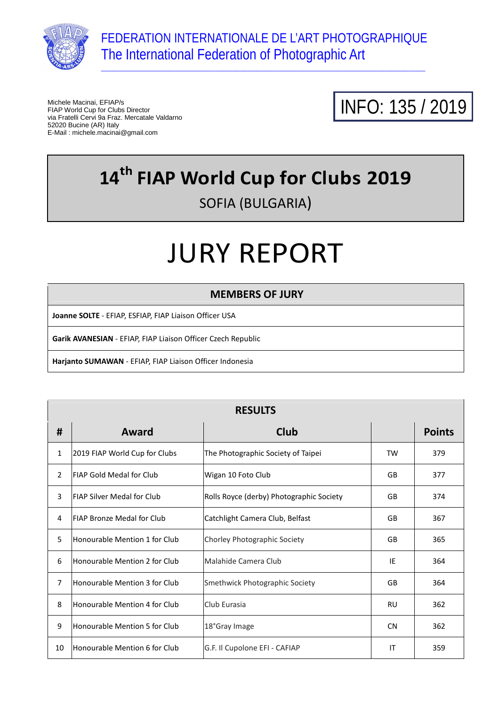

\_\_\_\_\_\_\_\_\_\_\_\_\_\_\_\_\_\_\_\_\_\_\_\_\_\_\_\_\_\_\_\_\_\_\_\_\_\_\_\_\_\_\_\_\_\_\_\_\_\_\_\_\_\_\_\_\_\_\_\_\_\_\_\_\_\_\_\_\_\_\_\_\_\_\_\_\_

Michele Macinai, EFIAP/s FIAP World Cup for Clubs Director via Fratelli Cervi 9a Fraz. Mercatale Valdarno 52020 Bucine (AR) Italy E-Mail : michele.macinai@gmail.com



### **14th FIAP World Cup for Clubs 2019**  SOFIA (BULGARIA)

# JURY REPORT

#### **MEMBERS OF JURY**

**Joanne SOLTE** - EFIAP, ESFIAP, FIAP Liaison Officer USA

**Garik AVANESIAN** - EFIAP, FIAP Liaison Officer Czech Republic

**Harjanto SUMAWAN** - EFIAP, FIAP Liaison Officer Indonesia

|                | <b>RESULTS</b>                    |                                          |           |               |  |  |  |
|----------------|-----------------------------------|------------------------------------------|-----------|---------------|--|--|--|
| #              | Award                             | <b>Club</b>                              |           | <b>Points</b> |  |  |  |
| 1              | 2019 FIAP World Cup for Clubs     | The Photographic Society of Taipei       | TW        | 379           |  |  |  |
| $\overline{2}$ | <b>FIAP Gold Medal for Club</b>   | Wigan 10 Foto Club                       | GB        | 377           |  |  |  |
| 3              | <b>FIAP Silver Medal for Club</b> | Rolls Royce (derby) Photographic Society | <b>GB</b> | 374           |  |  |  |
| 4              | <b>FIAP Bronze Medal for Club</b> | Catchlight Camera Club, Belfast          | GB        | 367           |  |  |  |
| 5              | Honourable Mention 1 for Club     | Chorley Photographic Society             | GB        | 365           |  |  |  |
| 6              | Honourable Mention 2 for Club     | Malahide Camera Club                     | IE        | 364           |  |  |  |
| $\overline{7}$ | Honourable Mention 3 for Club     | Smethwick Photographic Society           | GB        | 364           |  |  |  |
| 8              | Honourable Mention 4 for Club     | Club Eurasia                             | <b>RU</b> | 362           |  |  |  |
| 9              | Honourable Mention 5 for Club     | 18°Gray Image                            | <b>CN</b> | 362           |  |  |  |
| 10             | Honourable Mention 6 for Club     | G.F. Il Cupolone EFI - CAFIAP            | IT        | 359           |  |  |  |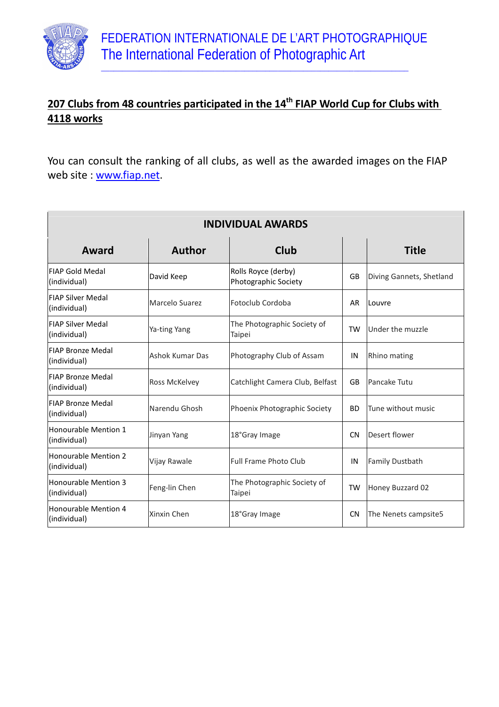

 $\_$  , and the set of the set of the set of the set of the set of the set of the set of the set of the set of the set of the set of the set of the set of the set of the set of the set of the set of the set of the set of th

#### **207 Clubs from 48 countries participated in the 14th FIAP World Cup for Clubs with 4118 works**

You can consult the ranking of all clubs, as well as the awarded images on the FIAP web site : www.fiap.net.

| <b>INDIVIDUAL AWARDS</b>                 |                 |                                             |           |                          |  |  |
|------------------------------------------|-----------------|---------------------------------------------|-----------|--------------------------|--|--|
| Award                                    | <b>Author</b>   | <b>Club</b>                                 |           | <b>Title</b>             |  |  |
| <b>FIAP Gold Medal</b><br>(individual)   | David Keep      | Rolls Royce (derby)<br>Photographic Society | GB        | Diving Gannets, Shetland |  |  |
| <b>FIAP Silver Medal</b><br>(individual) | Marcelo Suarez  | Fotoclub Cordoba                            | AR        | Louvre                   |  |  |
| <b>FIAP Silver Medal</b><br>(individual) | Ya-ting Yang    | The Photographic Society of<br>Taipei       | <b>TW</b> | Under the muzzle         |  |  |
| <b>FIAP Bronze Medal</b><br>(individual) | Ashok Kumar Das | Photography Club of Assam                   | IN        | Rhino mating             |  |  |
| <b>FIAP Bronze Medal</b><br>(individual) | Ross McKelvey   | Catchlight Camera Club, Belfast             | GB        | Pancake Tutu             |  |  |
| <b>FIAP Bronze Medal</b><br>(individual) | Narendu Ghosh   | Phoenix Photographic Society                | <b>BD</b> | Tune without music       |  |  |
| Honourable Mention 1<br>(individual)     | Jinyan Yang     | 18°Gray Image                               | <b>CN</b> | Desert flower            |  |  |
| Honourable Mention 2<br>(individual)     | Vijay Rawale    | Full Frame Photo Club                       | IN        | <b>Family Dustbath</b>   |  |  |
| Honourable Mention 3<br>(individual)     | Feng-lin Chen   | The Photographic Society of<br>Taipei       | <b>TW</b> | Honey Buzzard 02         |  |  |
| Honourable Mention 4<br>(individual)     | Xinxin Chen     | 18°Gray Image                               | <b>CN</b> | The Nenets campsite5     |  |  |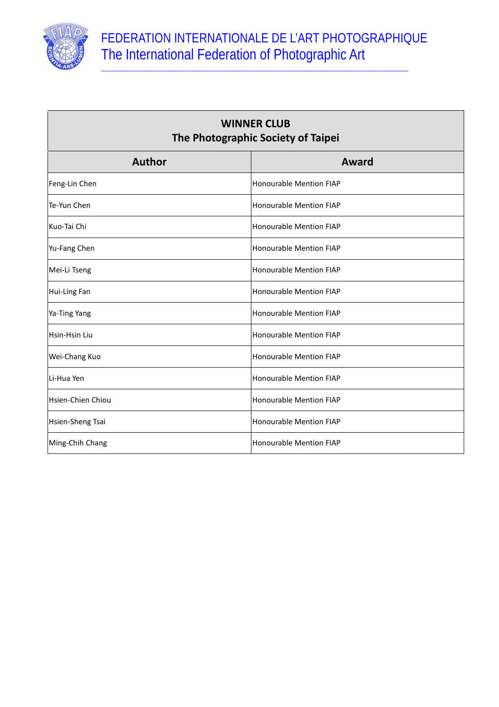

 $\sqrt{2}$ 

┓

 $\_$  , and the set of the set of the set of the set of the set of the set of the set of the set of the set of the set of the set of the set of the set of the set of the set of the set of the set of the set of the set of th

| <b>WINNER CLUB</b><br>The Photographic Society of Taipei |                                |  |  |
|----------------------------------------------------------|--------------------------------|--|--|
| <b>Author</b>                                            | Award                          |  |  |
| Feng-Lin Chen                                            | <b>Honourable Mention FIAP</b> |  |  |
| Te-Yun Chen                                              | Honourable Mention FIAP        |  |  |
| Kuo-Tai Chi                                              | <b>Honourable Mention FIAP</b> |  |  |
| Yu-Fang Chen                                             | <b>Honourable Mention FIAP</b> |  |  |
| Mei-Li Tseng                                             | Honourable Mention FIAP        |  |  |
| Hui-Ling Fan                                             | <b>Honourable Mention FIAP</b> |  |  |
| Ya-Ting Yang                                             | <b>Honourable Mention FIAP</b> |  |  |
| Hsin-Hsin Liu                                            | Honourable Mention FIAP        |  |  |
| Wei-Chang Kuo                                            | <b>Honourable Mention FIAP</b> |  |  |
| Li-Hua Yen                                               | <b>Honourable Mention FIAP</b> |  |  |
| Hsien-Chien Chiou                                        | <b>Honourable Mention FIAP</b> |  |  |
| Hsien-Sheng Tsai                                         | <b>Honourable Mention FIAP</b> |  |  |
| Ming-Chih Chang                                          | Honourable Mention FIAP        |  |  |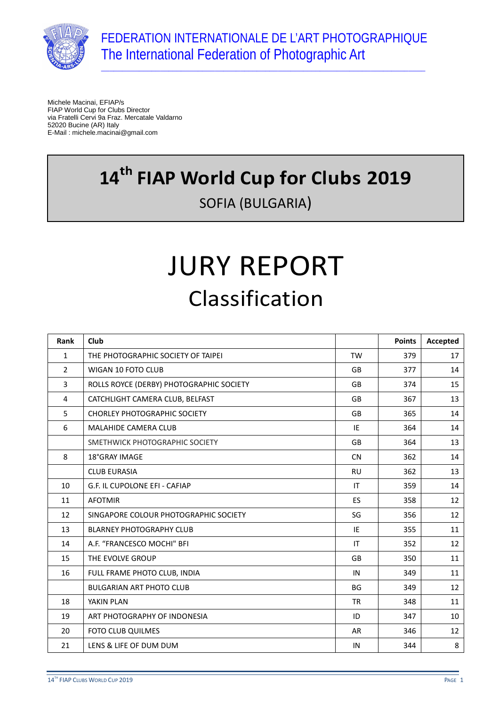

\_\_\_\_\_\_\_\_\_\_\_\_\_\_\_\_\_\_\_\_\_\_\_\_\_\_\_\_\_\_\_\_\_\_\_\_\_\_\_\_\_\_\_\_\_\_\_\_\_\_\_\_\_\_\_\_\_\_\_\_\_\_\_\_\_\_\_\_\_\_\_\_\_\_\_\_\_

Michele Macinai, EFIAP/s FIAP World Cup for Clubs Director via Fratelli Cervi 9a Fraz. Mercatale Valdarno 52020 Bucine (AR) Italy E-Mail : michele.macinai@gmail.com

## **14th FIAP World Cup for Clubs 2019**  SOFIA (BULGARIA)

# JURY REPORT Classification

| <b>Rank</b>    | Club                                     |           | <b>Points</b> | Accepted |
|----------------|------------------------------------------|-----------|---------------|----------|
| 1              | THE PHOTOGRAPHIC SOCIETY OF TAIPEI       | <b>TW</b> | 379           | 17       |
| $\overline{2}$ | <b>WIGAN 10 FOTO CLUB</b>                | <b>GB</b> | 377           | 14       |
| 3              | ROLLS ROYCE (DERBY) PHOTOGRAPHIC SOCIETY | <b>GB</b> | 374           | 15       |
| 4              | CATCHLIGHT CAMERA CLUB, BELFAST          | GB        | 367           | 13       |
| 5              | <b>CHORLEY PHOTOGRAPHIC SOCIETY</b>      | <b>GB</b> | 365           | 14       |
| 6              | <b>MALAHIDE CAMERA CLUB</b>              | IE        | 364           | 14       |
|                | SMETHWICK PHOTOGRAPHIC SOCIETY           | GB        | 364           | 13       |
| 8              | 18°GRAY IMAGE                            | <b>CN</b> | 362           | 14       |
|                | <b>CLUB EURASIA</b>                      | <b>RU</b> | 362           | 13       |
| 10             | G.F. IL CUPOLONE EFI - CAFIAP            | IT        | 359           | 14       |
| 11             | <b>AFOTMIR</b>                           | <b>ES</b> | 358           | 12       |
| 12             | SINGAPORE COLOUR PHOTOGRAPHIC SOCIETY    | SG        | 356           | 12       |
| 13             | <b>BLARNEY PHOTOGRAPHY CLUB</b>          | IE        | 355           | 11       |
| 14             | A.F. "FRANCESCO MOCHI" BFI               | IT        | 352           | 12       |
| 15             | THE EVOLVE GROUP                         | <b>GB</b> | 350           | 11       |
| 16             | FULL FRAME PHOTO CLUB, INDIA             | IN        | 349           | 11       |
|                | <b>BULGARIAN ART PHOTO CLUB</b>          | <b>BG</b> | 349           | 12       |
| 18             | YAKIN PLAN                               | <b>TR</b> | 348           | 11       |
| 19             | ART PHOTOGRAPHY OF INDONESIA             | ID        | 347           | 10       |
| 20             | <b>FOTO CLUB QUILMES</b>                 | AR        | 346           | 12       |
| 21             | LENS & LIFE OF DUM DUM                   | IN        | 344           | 8        |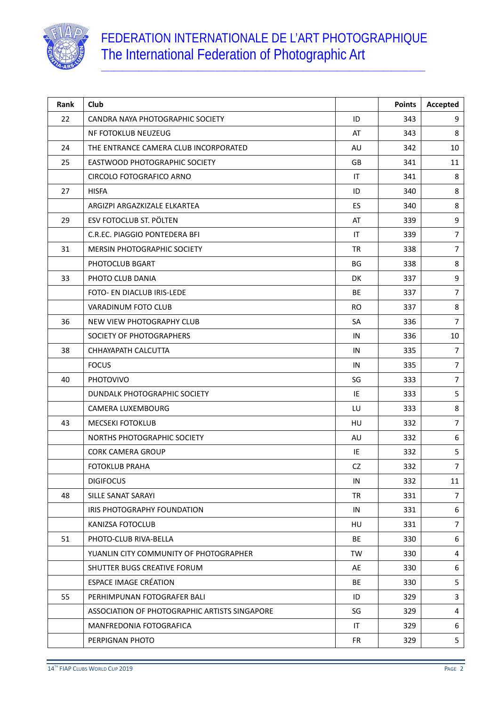

| Rank | Club                                          |           | <b>Points</b> | Accepted       |
|------|-----------------------------------------------|-----------|---------------|----------------|
| 22   | CANDRA NAYA PHOTOGRAPHIC SOCIETY              | ID        | 343           | 9              |
|      | NF FOTOKLUB NEUZEUG                           | AT        | 343           | 8              |
| 24   | THE ENTRANCE CAMERA CLUB INCORPORATED         | AU        | 342           | 10             |
| 25   | EASTWOOD PHOTOGRAPHIC SOCIETY                 | GB        | 341           | 11             |
|      | CIRCOLO FOTOGRAFICO ARNO                      | IT        | 341           | 8              |
| 27   | <b>HISFA</b>                                  | ID        | 340           | 8              |
|      | ARGIZPI ARGAZKIZALE ELKARTEA                  | ES        | 340           | 8              |
| 29   | ESV FOTOCLUB ST. PÖLTEN                       | AT        | 339           | 9              |
|      | C.R.EC. PIAGGIO PONTEDERA BFI                 | IT        | 339           | $\overline{7}$ |
| 31   | <b>MERSIN PHOTOGRAPHIC SOCIETY</b>            | <b>TR</b> | 338           | $\overline{7}$ |
|      | PHOTOCLUB BGART                               | BG        | 338           | 8              |
| 33   | PHOTO CLUB DANIA                              | DK.       | 337           | 9              |
|      | FOTO- EN DIACLUB IRIS-LEDE                    | <b>BE</b> | 337           | $\overline{7}$ |
|      | VARADINUM FOTO CLUB                           | <b>RO</b> | 337           | 8              |
| 36   | NEW VIEW PHOTOGRAPHY CLUB                     | SA        | 336           | $\overline{7}$ |
|      | SOCIETY OF PHOTOGRAPHERS                      | IN        | 336           | 10             |
| 38   | CHHAYAPATH CALCUTTA                           | IN        | 335           | $\overline{7}$ |
|      | <b>FOCUS</b>                                  | IN        | 335           | $\overline{7}$ |
| 40   | <b>PHOTOVIVO</b>                              | SG        | 333           | $\overline{7}$ |
|      | DUNDALK PHOTOGRAPHIC SOCIETY                  | IE        | 333           | 5              |
|      | <b>CAMERA LUXEMBOURG</b>                      | LU        | 333           | 8              |
| 43   | <b>MECSEKI FOTOKLUB</b>                       | HU        | 332           | $\overline{7}$ |
|      | NORTHS PHOTOGRAPHIC SOCIETY                   | AU        | 332           | 6              |
|      | <b>CORK CAMERA GROUP</b>                      | IE        | 332           | 5              |
|      | <b>FOTOKLUB PRAHA</b>                         | CZ        | 332           | $\overline{7}$ |
|      | <b>DIGIFOCUS</b>                              | IN        | 332           | 11             |
| 48   | SILLE SANAT SARAYI                            | TR        | 331           | $\overline{7}$ |
|      | IRIS PHOTOGRAPHY FOUNDATION                   | IN        | 331           | 6              |
|      | KANIZSA FOTOCLUB                              | HU        | 331           | $\overline{7}$ |
| 51   | PHOTO-CLUB RIVA-BELLA                         | BE        | 330           | 6              |
|      | YUANLIN CITY COMMUNITY OF PHOTOGRAPHER        | TW        | 330           | 4              |
|      | SHUTTER BUGS CREATIVE FORUM                   | AE        | 330           | 6              |
|      | <b>ESPACE IMAGE CRÉATION</b>                  | BE        | 330           | 5              |
| 55   | PERHIMPUNAN FOTOGRAFER BALI                   | ID        | 329           | 3              |
|      | ASSOCIATION OF PHOTOGRAPHIC ARTISTS SINGAPORE | SG        | 329           | 4              |
|      | MANFREDONIA FOTOGRAFICA                       | IT        | 329           | 6              |
|      | PERPIGNAN PHOTO                               | <b>FR</b> | 329           | 5 <sub>1</sub> |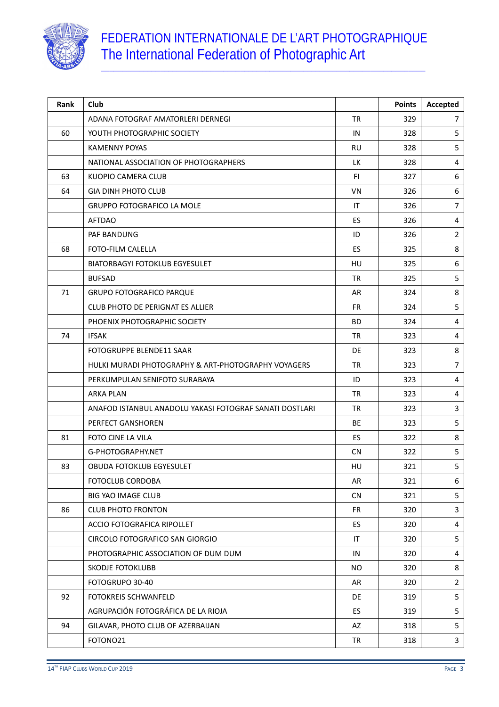

| Rank | Club                                                    |           | <b>Points</b> | Accepted       |
|------|---------------------------------------------------------|-----------|---------------|----------------|
|      | ADANA FOTOGRAF AMATORLERI DERNEGI                       | <b>TR</b> | 329           | 7              |
| 60   | YOUTH PHOTOGRAPHIC SOCIETY                              | IN        | 328           | 5              |
|      | <b>KAMENNY POYAS</b>                                    | <b>RU</b> | 328           | 5              |
|      | NATIONAL ASSOCIATION OF PHOTOGRAPHERS                   | <b>LK</b> | 328           | 4              |
| 63   | KUOPIO CAMERA CLUB                                      | <b>FI</b> | 327           | 6              |
| 64   | <b>GIA DINH PHOTO CLUB</b>                              | <b>VN</b> | 326           | 6              |
|      | <b>GRUPPO FOTOGRAFICO LA MOLE</b>                       | IT        | 326           | $\overline{7}$ |
|      | <b>AFTDAO</b>                                           | ES        | 326           | 4              |
|      | PAF BANDUNG                                             | ID        | 326           | $\overline{2}$ |
| 68   | <b>FOTO-FILM CALELLA</b>                                | <b>ES</b> | 325           | 8              |
|      | BIATORBAGYI FOTOKLUB EGYESULET                          | <b>HU</b> | 325           | 6              |
|      | <b>BUFSAD</b>                                           | <b>TR</b> | 325           | 5              |
| 71   | <b>GRUPO FOTOGRAFICO PARQUE</b>                         | AR        | 324           | 8              |
|      | CLUB PHOTO DE PERIGNAT ES ALLIER                        | <b>FR</b> | 324           | 5              |
|      | PHOENIX PHOTOGRAPHIC SOCIETY                            | <b>BD</b> | 324           | 4              |
| 74   | <b>IFSAK</b>                                            | <b>TR</b> | 323           | 4              |
|      | FOTOGRUPPE BLENDE11 SAAR                                | DE        | 323           | 8              |
|      | HULKI MURADI PHOTOGRAPHY & ART-PHOTOGRAPHY VOYAGERS     | <b>TR</b> | 323           | $\overline{7}$ |
|      | PERKUMPULAN SENIFOTO SURABAYA                           | ID        | 323           | 4              |
|      | ARKA PLAN                                               | <b>TR</b> | 323           | 4              |
|      | ANAFOD ISTANBUL ANADOLU YAKASI FOTOGRAF SANATI DOSTLARI | <b>TR</b> | 323           | 3              |
|      | PERFECT GANSHOREN                                       | BE        | 323           | 5              |
| 81   | FOTO CINE LA VILA                                       | ES        | 322           | 8              |
|      | G-PHOTOGRAPHY.NET                                       | <b>CN</b> | 322           | 5              |
| 83   | <b>OBUDA FOTOKLUB EGYESULET</b>                         | HU        | 321           | 5              |
|      | FOTOCLUB CORDOBA                                        | AR        | 321           | 6              |
|      | <b>BIG YAO IMAGE CLUB</b>                               | <b>CN</b> | 321           | 5              |
| 86   | <b>CLUB PHOTO FRONTON</b>                               | <b>FR</b> | 320           | 3              |
|      | ACCIO FOTOGRAFICA RIPOLLET                              | ES        | 320           | 4              |
|      | CIRCOLO FOTOGRAFICO SAN GIORGIO                         | IT        | 320           | 5              |
|      | PHOTOGRAPHIC ASSOCIATION OF DUM DUM                     | IN        | 320           | 4              |
|      | SKODJE FOTOKLUBB                                        | <b>NO</b> | 320           | 8              |
|      | FOTOGRUPO 30-40                                         | AR        | 320           | $\overline{2}$ |
| 92   | FOTOKREIS SCHWANFELD                                    | DE        | 319           | 5              |
|      | AGRUPACIÓN FOTOGRÁFICA DE LA RIOJA                      | <b>ES</b> | 319           | 5              |
| 94   | GILAVAR, PHOTO CLUB OF AZERBAIJAN                       | AZ        | 318           | 5              |
|      | FOTONO21                                                | TR        | 318           | $\mathbf{3}$   |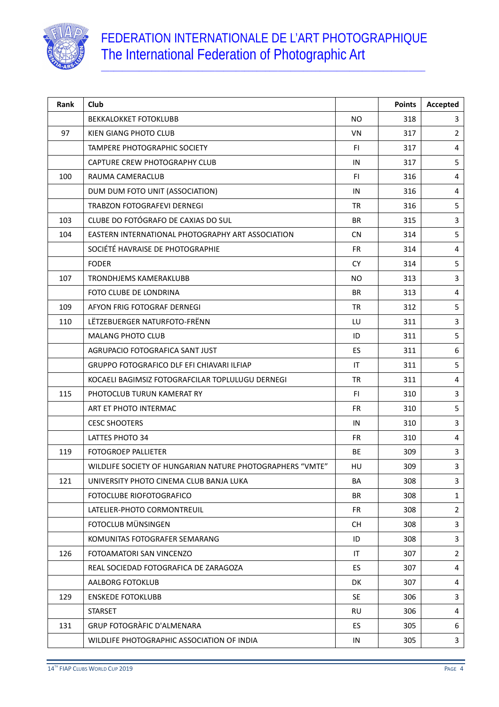

| Rank | Club                                                      |           | <b>Points</b> | Accepted       |
|------|-----------------------------------------------------------|-----------|---------------|----------------|
|      | <b>BEKKALOKKET FOTOKLUBB</b>                              | <b>NO</b> | 318           | 3              |
| 97   | KIEN GIANG PHOTO CLUB                                     | VN        | 317           | $\overline{2}$ |
|      | <b>TAMPERE PHOTOGRAPHIC SOCIETY</b>                       | FI.       | 317           | 4              |
|      | CAPTURE CREW PHOTOGRAPHY CLUB                             | IN        | 317           | 5              |
| 100  | RAUMA CAMERACLUB                                          | F1        | 316           | $\overline{4}$ |
|      | DUM DUM FOTO UNIT (ASSOCIATION)                           | IN        | 316           | 4              |
|      | <b>TRABZON FOTOGRAFEVI DERNEGI</b>                        | <b>TR</b> | 316           | 5              |
| 103  | CLUBE DO FOTÓGRAFO DE CAXIAS DO SUL                       | BR        | 315           | 3              |
| 104  | EASTERN INTERNATIONAL PHOTOGRAPHY ART ASSOCIATION         | <b>CN</b> | 314           | 5              |
|      | SOCIÉTÉ HAVRAISE DE PHOTOGRAPHIE                          | FR.       | 314           | 4              |
|      | <b>FODER</b>                                              | CY.       | 314           | 5              |
| 107  | TRONDHJEMS KAMERAKLUBB                                    | NO.       | 313           | 3              |
|      | FOTO CLUBE DE LONDRINA                                    | BR.       | 313           | 4              |
| 109  | AFYON FRIG FOTOGRAF DERNEGI                               | <b>TR</b> | 312           | 5              |
| 110  | LËTZEBUERGER NATURFOTO-FRËNN                              | LU        | 311           | 3              |
|      | <b>MALANG PHOTO CLUB</b>                                  | ID        | 311           | 5              |
|      | AGRUPACIO FOTOGRAFICA SANT JUST                           | <b>ES</b> | 311           | 6              |
|      | <b>GRUPPO FOTOGRAFICO DLF EFI CHIAVARI ILFIAP</b>         | IT        | 311           | 5              |
|      | KOCAELI BAGIMSIZ FOTOGRAFCILAR TOPLULUGU DERNEGI          | <b>TR</b> | 311           | 4              |
| 115  | PHOTOCLUB TURUN KAMERAT RY                                | F1        | 310           | $\mathbf{3}$   |
|      | ART ET PHOTO INTERMAC                                     | <b>FR</b> | 310           | 5              |
|      | <b>CESC SHOOTERS</b>                                      | IN        | 310           | 3              |
|      | LATTES PHOTO 34                                           | <b>FR</b> | 310           | 4              |
| 119  | <b>FOTOGROEP PALLIETER</b>                                | <b>BE</b> | 309           | 3              |
|      | WILDLIFE SOCIETY OF HUNGARIAN NATURE PHOTOGRAPHERS "VMTE" | HU        | 309           | 3              |
| 121  | UNIVERSITY PHOTO CINEMA CLUB BANJA LUKA                   | BA        | 308           | 3              |
|      | FOTOCLUBE RIOFOTOGRAFICO                                  | BR        | 308           | $\mathbf{1}$   |
|      | LATELIER-PHOTO CORMONTREUIL                               | <b>FR</b> | 308           | $\overline{2}$ |
|      | FOTOCLUB MÜNSINGEN                                        | <b>CH</b> | 308           | 3              |
|      | KOMUNITAS FOTOGRAFER SEMARANG                             | ID        | 308           | 3              |
| 126  | FOTOAMATORI SAN VINCENZO                                  | IT        | 307           | $\overline{2}$ |
|      | REAL SOCIEDAD FOTOGRAFICA DE ZARAGOZA                     | ES        | 307           | 4              |
|      | AALBORG FOTOKLUB                                          | DK        | 307           | 4              |
| 129  | <b>ENSKEDE FOTOKLUBB</b>                                  | <b>SE</b> | 306           | 3              |
|      | <b>STARSET</b>                                            | RU        | 306           | 4              |
| 131  | <b>GRUP FOTOGRÀFIC D'ALMENARA</b>                         | ES        | 305           | 6              |
|      | WILDLIFE PHOTOGRAPHIC ASSOCIATION OF INDIA                | IN        | 305           | 3              |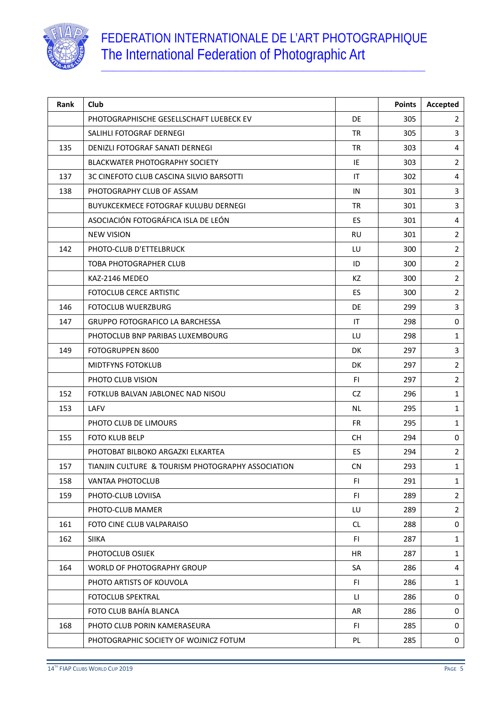

| Rank | Club                                              |           | <b>Points</b> | Accepted       |
|------|---------------------------------------------------|-----------|---------------|----------------|
|      | PHOTOGRAPHISCHE GESELLSCHAFT LUEBECK EV           | <b>DE</b> | 305           | 2              |
|      | SALIHLI FOTOGRAF DERNEGI                          | <b>TR</b> | 305           | 3              |
| 135  | DENIZLI FOTOGRAF SANATI DERNEGI                   | <b>TR</b> | 303           | 4              |
|      | BLACKWATER PHOTOGRAPHY SOCIETY                    | IE        | 303           | $\overline{2}$ |
| 137  | 3C CINEFOTO CLUB CASCINA SILVIO BARSOTTI          | IT        | 302           | $\overline{4}$ |
| 138  | PHOTOGRAPHY CLUB OF ASSAM                         | IN        | 301           | 3              |
|      | <b>BUYUKCEKMECE FOTOGRAF KULUBU DERNEGI</b>       | <b>TR</b> | 301           | 3              |
|      | ASOCIACIÓN FOTOGRÁFICA ISLA DE LEÓN               | <b>ES</b> | 301           | 4              |
|      | <b>NEW VISION</b>                                 | <b>RU</b> | 301           | $\overline{2}$ |
| 142  | PHOTO-CLUB D'ETTELBRUCK                           | LU        | 300           | $\overline{2}$ |
|      | <b>TOBA PHOTOGRAPHER CLUB</b>                     | ID        | 300           | $\overline{2}$ |
|      | KAZ-2146 MEDEO                                    | KZ        | 300           | $\overline{2}$ |
|      | FOTOCLUB CERCE ARTISTIC                           | ES        | 300           | 2              |
| 146  | <b>FOTOCLUB WUERZBURG</b>                         | <b>DE</b> | 299           | 3              |
| 147  | <b>GRUPPO FOTOGRAFICO LA BARCHESSA</b>            | IT        | 298           | 0              |
|      | PHOTOCLUB BNP PARIBAS LUXEMBOURG                  | LU        | 298           | $\mathbf{1}$   |
| 149  | FOTOGRUPPEN 8600                                  | DK        | 297           | 3              |
|      | <b>MIDTFYNS FOTOKLUB</b>                          | <b>DK</b> | 297           | $\overline{2}$ |
|      | PHOTO CLUB VISION                                 | FI.       | 297           | $\overline{2}$ |
| 152  | FOTKLUB BALVAN JABLONEC NAD NISOU                 | CZ        | 296           | $\mathbf{1}$   |
| 153  | LAFV                                              | <b>NL</b> | 295           | $\mathbf{1}$   |
|      | PHOTO CLUB DE LIMOURS                             | FR.       | 295           | $\mathbf{1}$   |
| 155  | <b>FOTO KLUB BELP</b>                             | <b>CH</b> | 294           | $\mathbf 0$    |
|      | PHOTOBAT BILBOKO ARGAZKI ELKARTEA                 | ES        | 294           | $\overline{2}$ |
| 157  | TIANJIN CULTURE & TOURISM PHOTOGRAPHY ASSOCIATION | <b>CN</b> | 293           | $\mathbf{1}$   |
| 158  | VANTAA PHOTOCLUB                                  | FI.       | 291           | $\mathbf{1}$   |
| 159  | PHOTO-CLUB LOVIISA                                | FI.       | 289           | $\overline{2}$ |
|      | PHOTO-CLUB MAMER                                  | LU        | 289           | $\overline{2}$ |
| 161  | FOTO CINE CLUB VALPARAISO                         | <b>CL</b> | 288           | 0              |
| 162  | <b>SIIKA</b>                                      | FI.       | 287           | $\mathbf{1}$   |
|      | PHOTOCLUB OSIJEK                                  | HR        | 287           | $\mathbf{1}$   |
| 164  | WORLD OF PHOTOGRAPHY GROUP                        | SA        | 286           | 4              |
|      | PHOTO ARTISTS OF KOUVOLA                          | FI.       | 286           | 1              |
|      | <b>FOTOCLUB SPEKTRAL</b>                          | П         | 286           | 0              |
|      | FOTO CLUB BAHÍA BLANCA                            | AR        | 286           | 0              |
| 168  | PHOTO CLUB PORIN KAMERASEURA                      | FI.       | 285           | 0              |
|      | PHOTOGRAPHIC SOCIETY OF WOJNICZ FOTUM             | PL        | 285           | 0              |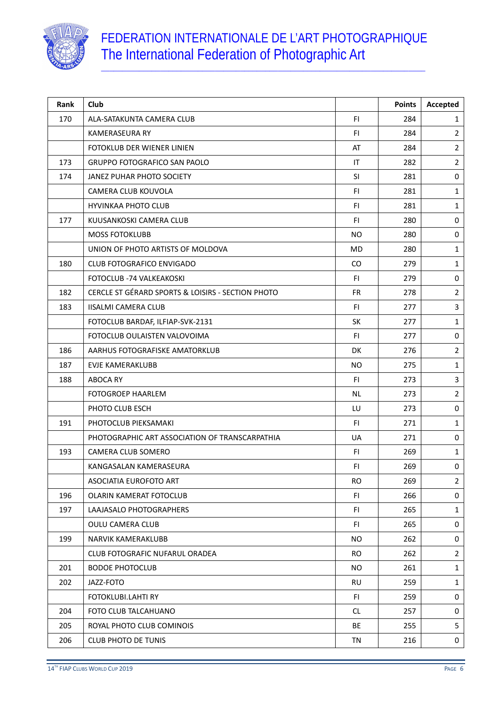

| Rank | Club                                              |                | <b>Points</b> | Accepted       |
|------|---------------------------------------------------|----------------|---------------|----------------|
| 170  | ALA-SATAKUNTA CAMERA CLUB                         | <b>FI</b>      | 284           | 1              |
|      | <b>KAMERASEURA RY</b>                             | F1             | 284           | $\overline{2}$ |
|      | FOTOKLUB DER WIENER LINIEN                        | AT             | 284           | $\overline{2}$ |
| 173  | <b>GRUPPO FOTOGRAFICO SAN PAOLO</b>               | ΙT             | 282           | $\overline{2}$ |
| 174  | JANEZ PUHAR PHOTO SOCIETY                         | SI             | 281           | 0              |
|      | CAMERA CLUB KOUVOLA                               | F1             | 281           | $\mathbf{1}$   |
|      | <b>HYVINKAA PHOTO CLUB</b>                        | F1             | 281           | $\mathbf{1}$   |
| 177  | KUUSANKOSKI CAMERA CLUB                           | F1             | 280           | 0              |
|      | <b>MOSS FOTOKLUBB</b>                             | N <sub>O</sub> | 280           | $\pmb{0}$      |
|      | UNION OF PHOTO ARTISTS OF MOLDOVA                 | <b>MD</b>      | 280           | $\mathbf{1}$   |
| 180  | <b>CLUB FOTOGRAFICO ENVIGADO</b>                  | CO.            | 279           | $\mathbf{1}$   |
|      | FOTOCLUB -74 VALKEAKOSKI                          | <b>FI</b>      | 279           | 0              |
| 182  | CERCLE ST GÉRARD SPORTS & LOISIRS - SECTION PHOTO | FR             | 278           | $\overline{2}$ |
| 183  | <b>IISALMI CAMERA CLUB</b>                        | <b>FI</b>      | 277           | 3              |
|      | FOTOCLUB BARDAF, ILFIAP-SVK-2131                  | SK             | 277           | $\mathbf{1}$   |
|      | FOTOCLUB OULAISTEN VALOVOIMA                      | <b>FI</b>      | 277           | 0              |
| 186  | AARHUS FOTOGRAFISKE AMATORKLUB                    | <b>DK</b>      | 276           | $\overline{2}$ |
| 187  | EVJE KAMERAKLUBB                                  | <b>NO</b>      | 275           | $\mathbf{1}$   |
| 188  | ABOCA RY                                          | F1             | 273           | 3              |
|      | <b>FOTOGROEP HAARLEM</b>                          | <b>NL</b>      | 273           | $\overline{2}$ |
|      | PHOTO CLUB ESCH                                   | LU             | 273           | 0              |
| 191  | PHOTOCLUB PIEKSAMAKI                              | F1             | 271           | $\mathbf{1}$   |
|      | PHOTOGRAPHIC ART ASSOCIATION OF TRANSCARPATHIA    | <b>UA</b>      | 271           | 0              |
| 193  | CAMERA CLUB SOMERO                                | <b>FI</b>      | 269           | $\mathbf{1}$   |
|      | KANGASALAN KAMERASEURA                            | F1             | 269           | 0              |
|      | ASOCIATIA EUROFOTO ART                            | <b>RO</b>      | 269           | $\overline{2}$ |
| 196  | OLARIN KAMERAT FOTOCLUB                           | FI.            | 266           | 0              |
| 197  | LAAJASALO PHOTOGRAPHERS                           | FI.            | 265           | $\mathbf{1}$   |
|      | OULU CAMERA CLUB                                  | F1             | 265           | 0              |
| 199  | <b>NARVIK KAMERAKLUBB</b>                         | <b>NO</b>      | 262           | 0              |
|      | <b>CLUB FOTOGRAFIC NUFARUL ORADEA</b>             | <b>RO</b>      | 262           | $\overline{2}$ |
| 201  | <b>BODOE PHOTOCLUB</b>                            | <b>NO</b>      | 261           | $\mathbf{1}$   |
| 202  | JAZZ-FOTO                                         | <b>RU</b>      | 259           | 1              |
|      | FOTOKLUBI.LAHTI RY                                | FI.            | 259           | 0              |
| 204  | FOTO CLUB TALCAHUANO                              | <b>CL</b>      | 257           | 0              |
| 205  | ROYAL PHOTO CLUB COMINOIS                         | BE             | 255           | 5              |
| 206  | <b>CLUB PHOTO DE TUNIS</b>                        | TN             | 216           | 0              |